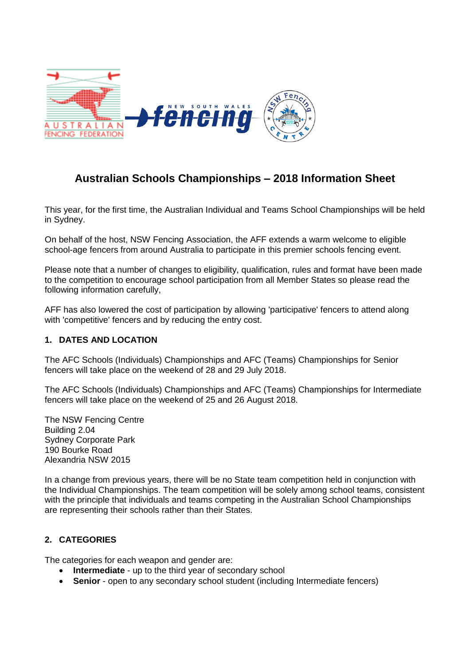

# **Australian Schools Championships – 2018 Information Sheet**

This year, for the first time, the Australian Individual and Teams School Championships will be held in Sydney.

On behalf of the host, NSW Fencing Association, the AFF extends a warm welcome to eligible school-age fencers from around Australia to participate in this premier schools fencing event.

Please note that a number of changes to eligibility, qualification, rules and format have been made to the competition to encourage school participation from all Member States so please read the following information carefully,

AFF has also lowered the cost of participation by allowing 'participative' fencers to attend along with 'competitive' fencers and by reducing the entry cost.

## **1. DATES AND LOCATION**

The AFC Schools (Individuals) Championships and AFC (Teams) Championships for Senior fencers will take place on the weekend of 28 and 29 July 2018.

The AFC Schools (Individuals) Championships and AFC (Teams) Championships for Intermediate fencers will take place on the weekend of 25 and 26 August 2018.

The NSW Fencing Centre Building 2.04 Sydney Corporate Park 190 Bourke Road Alexandria NSW 2015

In a change from previous years, there will be no State team competition held in conjunction with the Individual Championships. The team competition will be solely among school teams, consistent with the principle that individuals and teams competing in the Australian School Championships are representing their schools rather than their States.

# **2. CATEGORIES**

The categories for each weapon and gender are:

- **Intermediate** up to the third year of secondary school
- **Senior** open to any secondary school student (including Intermediate fencers)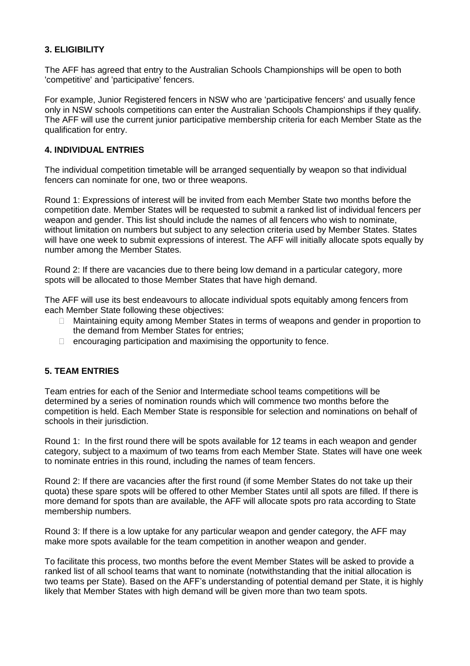# **3. ELIGIBILITY**

The AFF has agreed that entry to the Australian Schools Championships will be open to both 'competitive' and 'participative' fencers.

For example, Junior Registered fencers in NSW who are 'participative fencers' and usually fence only in NSW schools competitions can enter the Australian Schools Championships if they qualify. The AFF will use the current junior participative membership criteria for each Member State as the qualification for entry.

## **4. INDIVIDUAL ENTRIES**

The individual competition timetable will be arranged sequentially by weapon so that individual fencers can nominate for one, two or three weapons.

Round 1: Expressions of interest will be invited from each Member State two months before the competition date. Member States will be requested to submit a ranked list of individual fencers per weapon and gender. This list should include the names of all fencers who wish to nominate, without limitation on numbers but subject to any selection criteria used by Member States. States will have one week to submit expressions of interest. The AFF will initially allocate spots equally by number among the Member States.

Round 2: If there are vacancies due to there being low demand in a particular category, more spots will be allocated to those Member States that have high demand.

The AFF will use its best endeavours to allocate individual spots equitably among fencers from each Member State following these objectives:

- □ Maintaining equity among Member States in terms of weapons and gender in proportion to the demand from Member States for entries;
- $\Box$  encouraging participation and maximising the opportunity to fence.

## **5. TEAM ENTRIES**

Team entries for each of the Senior and Intermediate school teams competitions will be determined by a series of nomination rounds which will commence two months before the competition is held. Each Member State is responsible for selection and nominations on behalf of schools in their jurisdiction.

Round 1: In the first round there will be spots available for 12 teams in each weapon and gender category, subject to a maximum of two teams from each Member State. States will have one week to nominate entries in this round, including the names of team fencers.

Round 2: If there are vacancies after the first round (if some Member States do not take up their quota) these spare spots will be offered to other Member States until all spots are filled. If there is more demand for spots than are available, the AFF will allocate spots pro rata according to State membership numbers.

Round 3: If there is a low uptake for any particular weapon and gender category, the AFF may make more spots available for the team competition in another weapon and gender.

To facilitate this process, two months before the event Member States will be asked to provide a ranked list of all school teams that want to nominate (notwithstanding that the initial allocation is two teams per State). Based on the AFF's understanding of potential demand per State, it is highly likely that Member States with high demand will be given more than two team spots.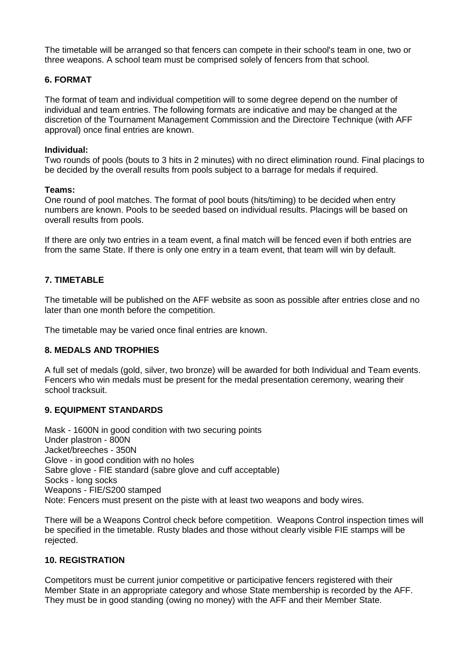The timetable will be arranged so that fencers can compete in their school's team in one, two or three weapons. A school team must be comprised solely of fencers from that school.

## **6. FORMAT**

The format of team and individual competition will to some degree depend on the number of individual and team entries. The following formats are indicative and may be changed at the discretion of the Tournament Management Commission and the Directoire Technique (with AFF approval) once final entries are known.

#### **Individual:**

Two rounds of pools (bouts to 3 hits in 2 minutes) with no direct elimination round. Final placings to be decided by the overall results from pools subject to a barrage for medals if required.

#### **Teams:**

One round of pool matches. The format of pool bouts (hits/timing) to be decided when entry numbers are known. Pools to be seeded based on individual results. Placings will be based on overall results from pools.

If there are only two entries in a team event, a final match will be fenced even if both entries are from the same State. If there is only one entry in a team event, that team will win by default.

## **7. TIMETABLE**

The timetable will be published on the AFF website as soon as possible after entries close and no later than one month before the competition.

The timetable may be varied once final entries are known.

## **8. MEDALS AND TROPHIES**

A full set of medals (gold, silver, two bronze) will be awarded for both Individual and Team events. Fencers who win medals must be present for the medal presentation ceremony, wearing their school tracksuit.

## **9. EQUIPMENT STANDARDS**

Mask - 1600N in good condition with two securing points Under plastron - 800N Jacket/breeches - 350N Glove - in good condition with no holes Sabre glove - FIE standard (sabre glove and cuff acceptable) Socks - long socks Weapons - FIE/S200 stamped Note: Fencers must present on the piste with at least two weapons and body wires.

There will be a Weapons Control check before competition. Weapons Control inspection times will be specified in the timetable. Rusty blades and those without clearly visible FIE stamps will be rejected.

## **10. REGISTRATION**

Competitors must be current junior competitive or participative fencers registered with their Member State in an appropriate category and whose State membership is recorded by the AFF. They must be in good standing (owing no money) with the AFF and their Member State.